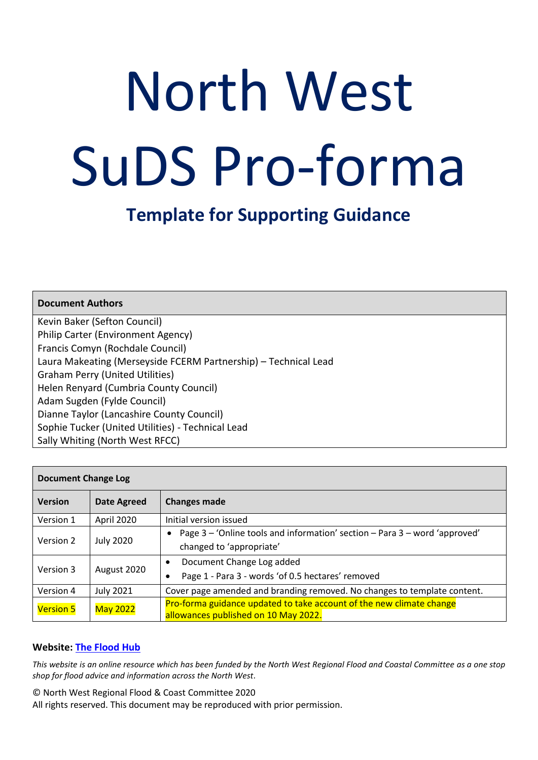# North West SuDS Pro-forma

# **Template for Supporting Guidance**

| <b>Document Authors</b>                                         |
|-----------------------------------------------------------------|
| Kevin Baker (Sefton Council)                                    |
| <b>Philip Carter (Environment Agency)</b>                       |
| Francis Comyn (Rochdale Council)                                |
| Laura Makeating (Merseyside FCERM Partnership) - Technical Lead |
| <b>Graham Perry (United Utilities)</b>                          |
| Helen Renyard (Cumbria County Council)                          |
| Adam Sugden (Fylde Council)                                     |
| Dianne Taylor (Lancashire County Council)                       |
| Sophie Tucker (United Utilities) - Technical Lead               |
| Sally Whiting (North West RFCC)                                 |

| <b>Document Change Log</b> |                    |                                                                                                                     |  |  |
|----------------------------|--------------------|---------------------------------------------------------------------------------------------------------------------|--|--|
| <b>Version</b>             | <b>Date Agreed</b> | <b>Changes made</b>                                                                                                 |  |  |
| Version 1                  | April 2020         | Initial version issued                                                                                              |  |  |
| Version 2                  | <b>July 2020</b>   | Page 3 – 'Online tools and information' section – Para 3 – word 'approved'<br>$\bullet$<br>changed to 'appropriate' |  |  |
| Version 3                  | August 2020        | Document Change Log added<br>$\bullet$<br>Page 1 - Para 3 - words 'of 0.5 hectares' removed                         |  |  |
| Version 4                  | <b>July 2021</b>   | Cover page amended and branding removed. No changes to template content.                                            |  |  |
| <b>Version 5</b>           | <b>May 2022</b>    | Pro-forma guidance updated to take account of the new climate change<br>allowances published on 10 May 2022.        |  |  |

#### **Website: [The Flood Hub](https://thefloodhub.co.uk/planning-development/)**

*This website is an online resource which has been funded by the North West Regional Flood and Coastal Committee as a one stop shop for flood advice and information across the North West.* 

© North West Regional Flood & Coast Committee 2020 All rights reserved. This document may be reproduced with prior permission.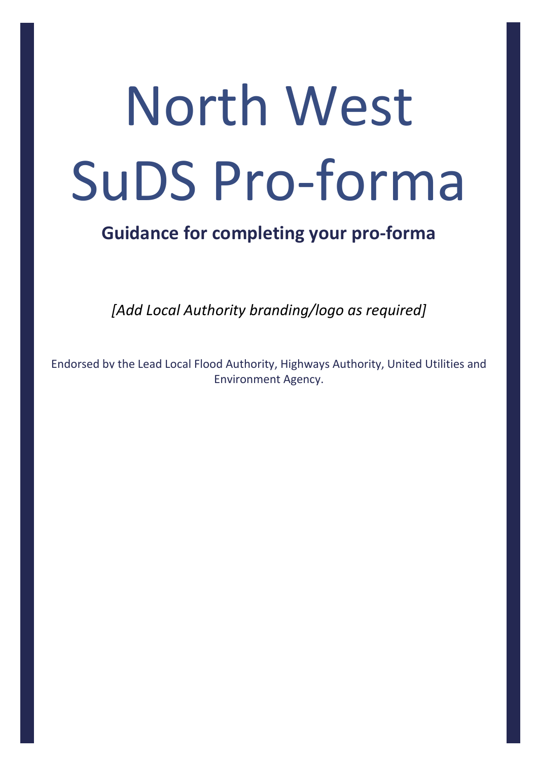# North West SuDS Pro-forma

# **Guidance for completing your pro-forma**

*[Add Local Authority branding/logo as required]*

Endorsed by the Lead Local Flood Authority, Highways Authority, United Utilities and Environment Agency.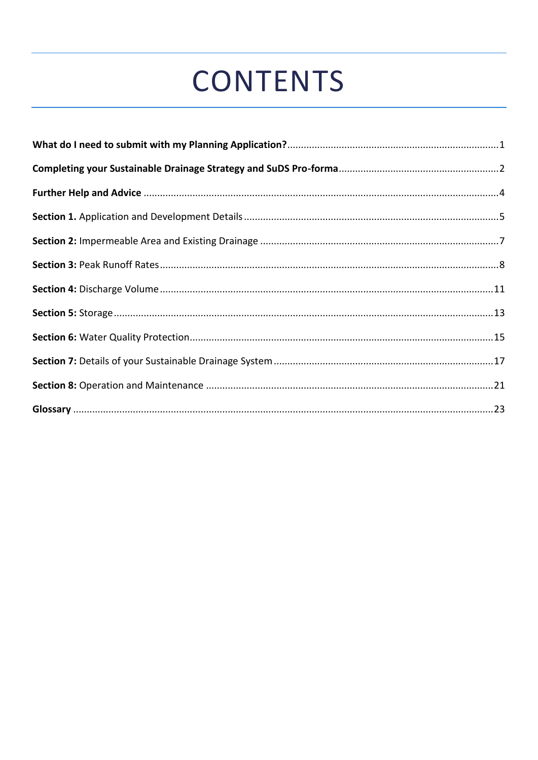# **CONTENTS**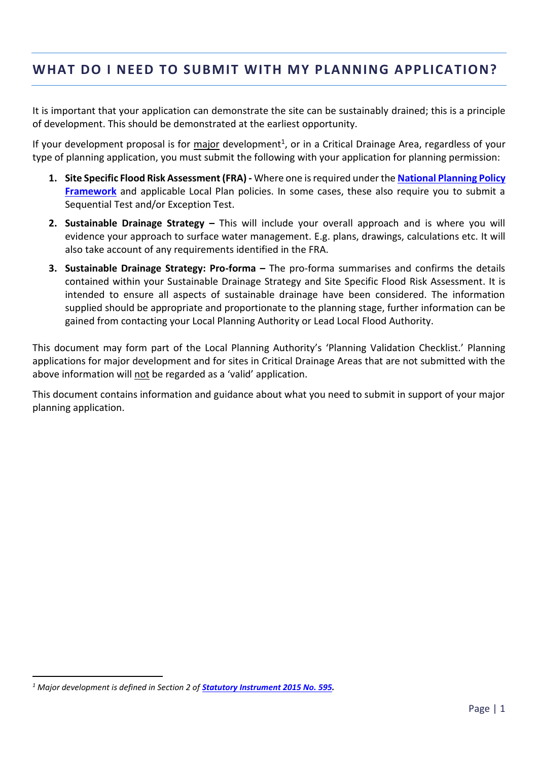# <span id="page-3-0"></span>**WHAT DO I NEED TO SUBMIT WITH MY PLANNING APPLICATION?**

It is important that your application can demonstrate the site can be sustainably drained; this is a principle of development. This should be demonstrated at the earliest opportunity.

If your development proposal is for *major* development<sup>1</sup>, or in a Critical Drainage Area, regardless of your type of planning application, you must submit the following with your application for planning permission:

- **1. Site Specific Flood Risk Assessment (FRA) -** Where one is required under the **[National Planning Policy](https://www.gov.uk/government/publications/national-planning-policy-framework--2)  [Framework](https://www.gov.uk/government/publications/national-planning-policy-framework--2)** and applicable Local Plan policies. In some cases, these also require you to submit a Sequential Test and/or Exception Test.
- **2. Sustainable Drainage Strategy –** This will include your overall approach and is where you will evidence your approach to surface water management. E.g. plans, drawings, calculations etc. It will also take account of any requirements identified in the FRA.
- **3. Sustainable Drainage Strategy: Pro-forma –** The pro-forma summarises and confirms the details contained within your Sustainable Drainage Strategy and Site Specific Flood Risk Assessment. It is intended to ensure all aspects of sustainable drainage have been considered. The information supplied should be appropriate and proportionate to the planning stage, further information can be gained from contacting your Local Planning Authority or Lead Local Flood Authority.

This document may form part of the Local Planning Authority's 'Planning Validation Checklist.' Planning applications for major development and for sites in Critical Drainage Areas that are not submitted with the above information will not be regarded as a 'valid' application.

This document contains information and guidance about what you need to submit in support of your major planning application.

<sup>&</sup>lt;sup>1</sup> Major development is defined in Section 2 of **[Statutory Instrument 2015 No. 595.](http://www.legislation.gov.uk/uksi/2015/595/made)**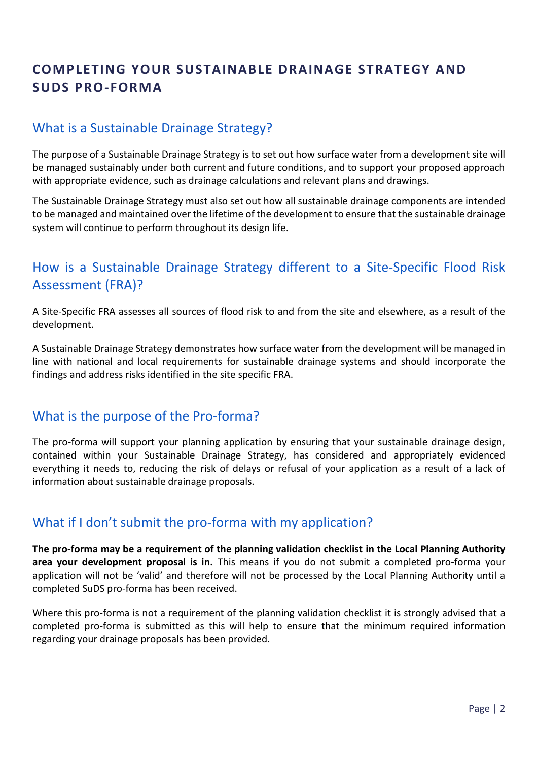# <span id="page-4-0"></span>**COMPLETING YOUR SUSTAINABLE DRAINAGE STRATEGY AND SUDS PRO-FORMA**

# What is a Sustainable Drainage Strategy?

The purpose of a Sustainable Drainage Strategy is to set out how surface water from a development site will be managed sustainably under both current and future conditions, and to support your proposed approach with appropriate evidence, such as drainage calculations and relevant plans and drawings.

The Sustainable Drainage Strategy must also set out how all sustainable drainage components are intended to be managed and maintained over the lifetime of the development to ensure that the sustainable drainage system will continue to perform throughout its design life.

# How is a Sustainable Drainage Strategy different to a Site-Specific Flood Risk Assessment (FRA)?

A Site-Specific FRA assesses all sources of flood risk to and from the site and elsewhere, as a result of the development.

A Sustainable Drainage Strategy demonstrates how surface water from the development will be managed in line with national and local requirements for sustainable drainage systems and should incorporate the findings and address risks identified in the site specific FRA.

#### What is the purpose of the Pro-forma?

The pro-forma will support your planning application by ensuring that your sustainable drainage design, contained within your Sustainable Drainage Strategy, has considered and appropriately evidenced everything it needs to, reducing the risk of delays or refusal of your application as a result of a lack of information about sustainable drainage proposals.

# What if I don't submit the pro-forma with my application?

**The pro-forma may be a requirement of the planning validation checklist in the Local Planning Authority area your development proposal is in.** This means if you do not submit a completed pro-forma your application will not be 'valid' and therefore will not be processed by the Local Planning Authority until a completed SuDS pro-forma has been received.

Where this pro-forma is not a requirement of the planning validation checklist it is strongly advised that a completed pro-forma is submitted as this will help to ensure that the minimum required information regarding your drainage proposals has been provided.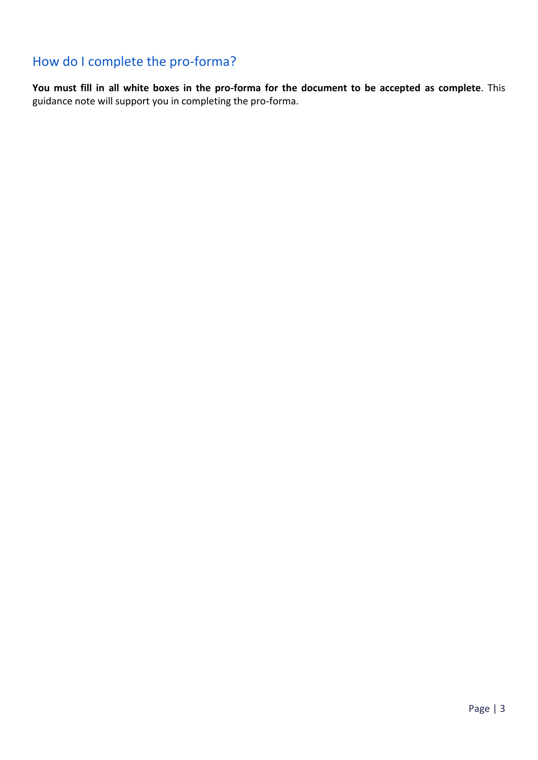# How do I complete the pro-forma?

**You must fill in all white boxes in the pro-forma for the document to be accepted as complete**. This guidance note will support you in completing the pro-forma.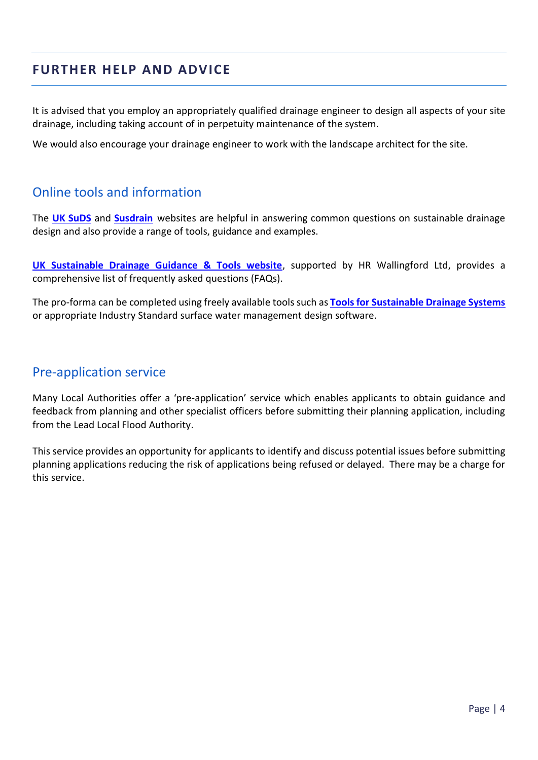# <span id="page-6-0"></span>**FURTHER HELP AND ADVICE**

It is advised that you employ an appropriately qualified drainage engineer to design all aspects of your site drainage, including taking account of in perpetuity maintenance of the system.

We would also encourage your drainage engineer to work with the landscape architect for the site.

#### Online tools and information

The **[UK SuDS](http://www.uksuds.com/help-support/frequently-asked-questions)** and **[Susdrain](http://www.susdrain.org/)** websites are helpful in answering common questions on sustainable drainage design and also provide a range of tools, guidance and examples.

**[UK Sustainable Drainage Guidance & Tools website](http://geoservergisweb2.hrwallingford.co.uk/uksd/faqs.htm)**, supported by HR Wallingford Ltd, provides a comprehensive list of frequently asked questions (FAQs).

The pro-forma can be completed using freely available tools such as **[Tools for Sustainable Drainage Systems](http://www.uksuds.com/)** or appropriate Industry Standard surface water management design software.

#### Pre-application service

Many Local Authorities offer a 'pre-application' service which enables applicants to obtain guidance and feedback from planning and other specialist officers before submitting their planning application, including from the Lead Local Flood Authority.

This service provides an opportunity for applicants to identify and discuss potential issues before submitting planning applications reducing the risk of applications being refused or delayed. There may be a charge for this service.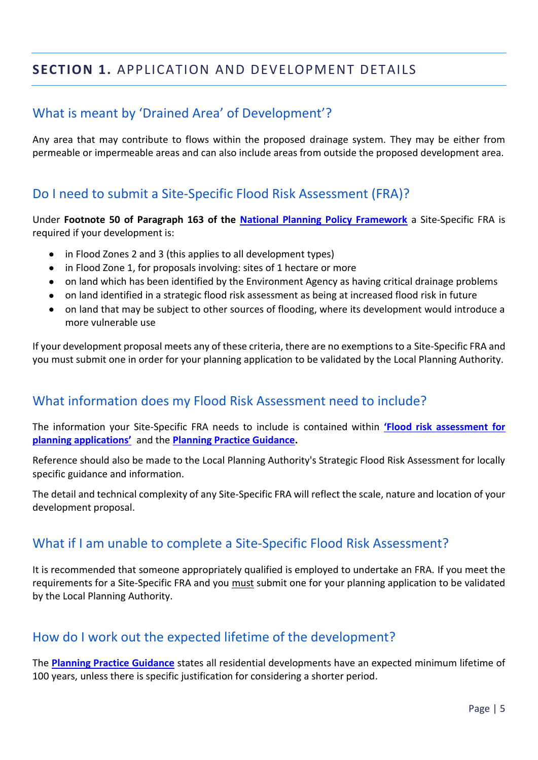# <span id="page-7-0"></span>**SECTION 1.** APPLICATION AND DEVELOPMENT DETAILS

# What is meant by 'Drained Area' of Development'?

Any area that may contribute to flows within the proposed drainage system. They may be either from permeable or impermeable areas and can also include areas from outside the proposed development area.

#### Do I need to submit a Site-Specific Flood Risk Assessment (FRA)?

Under **Footnote 50 of Paragraph 163 of the [National Planning Policy Framework](https://www.gov.uk/government/publications/national-planning-policy-framework--2)** a Site-Specific FRA is required if your development is:

- in Flood Zones 2 and 3 (this applies to all development types)
- in Flood Zone 1, for proposals involving: sites of 1 hectare or more
- on land which has been identified by the Environment Agency as having critical drainage problems
- on land identified in a strategic flood risk assessment as being at increased flood risk in future
- on land that may be subject to other sources of flooding, where its development would introduce a more vulnerable use

If your development proposal meets any of these criteria, there are no exemptions to a Site-Specific FRA and you must submit one in order for your planning application to be validated by the Local Planning Authority.

#### What information does my Flood Risk Assessment need to include?

The information your Site-Specific FRA needs to include is contained within **['Flood risk assessment for](https://www.gov.uk/guidance/flood-risk-assessment-for-planning-applications)  [planning applications'](https://www.gov.uk/guidance/flood-risk-assessment-for-planning-applications)** and the **[Planning Practice Guidance.](https://www.gov.uk/guidance/flood-risk-assessment-for-planning-applications)**

Reference should also be made to the Local Planning Authority's Strategic Flood Risk Assessment for locally specific guidance and information.

The detail and technical complexity of any Site-Specific FRA will reflect the scale, nature and location of your development proposal.

#### What if I am unable to complete a Site-Specific Flood Risk Assessment?

It is recommended that someone appropriately qualified is employed to undertake an FRA. If you meet the requirements for a Site-Specific FRA and you must submit one for your planning application to be validated by the Local Planning Authority.

# How do I work out the expected lifetime of the development?

The **[Planning Practice Guidance](https://www.gov.uk/guidance/flood-risk-and-coastal-change#what-is-lifetime-of-development)** states all residential developments have an expected minimum lifetime of 100 years, unless there is specific justification for considering a shorter period.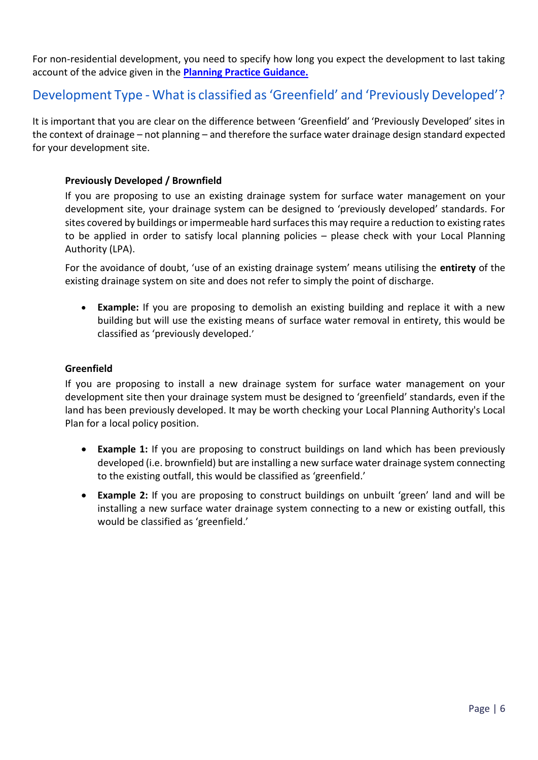For non-residential development, you need to specify how long you expect the development to last taking account of the advice given in the **[Planning Practice Guidance.](https://www.gov.uk/guidance/flood-risk-and-coastal-change#what-is-lifetime-of-development)**

# Development Type - What is classified as 'Greenfield' and 'Previously Developed'?

It is important that you are clear on the difference between 'Greenfield' and 'Previously Developed' sites in the context of drainage – not planning – and therefore the surface water drainage design standard expected for your development site.

#### **Previously Developed / Brownfield**

If you are proposing to use an existing drainage system for surface water management on your development site, your drainage system can be designed to 'previously developed' standards. For sites covered by buildings or impermeable hard surfaces this may require a reduction to existing rates to be applied in order to satisfy local planning policies – please check with your Local Planning Authority (LPA).

For the avoidance of doubt, 'use of an existing drainage system' means utilising the **entirety** of the existing drainage system on site and does not refer to simply the point of discharge.

• **Example:** If you are proposing to demolish an existing building and replace it with a new building but will use the existing means of surface water removal in entirety, this would be classified as 'previously developed.'

#### **Greenfield**

If you are proposing to install a new drainage system for surface water management on your development site then your drainage system must be designed to 'greenfield' standards, even if the land has been previously developed. It may be worth checking your Local Planning Authority's Local Plan for a local policy position.

- **Example 1:** If you are proposing to construct buildings on land which has been previously developed (i.e. brownfield) but are installing a new surface water drainage system connecting to the existing outfall, this would be classified as 'greenfield.'
- **Example 2:** If you are proposing to construct buildings on unbuilt 'green' land and will be installing a new surface water drainage system connecting to a new or existing outfall, this would be classified as 'greenfield.'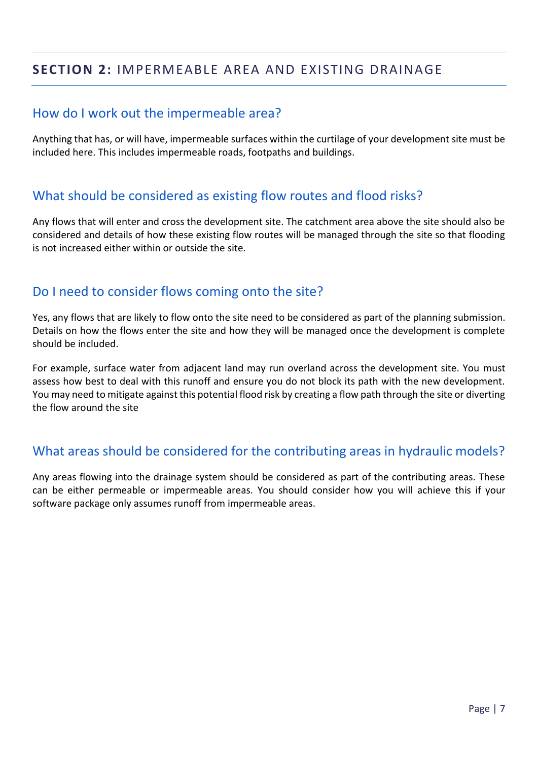# <span id="page-9-0"></span>**SECTION 2:** IMPERMEABLE AREA AND EXISTING DRAINAGE

#### How do I work out the impermeable area?

Anything that has, or will have, impermeable surfaces within the curtilage of your development site must be included here. This includes impermeable roads, footpaths and buildings.

#### What should be considered as existing flow routes and flood risks?

Any flows that will enter and cross the development site. The catchment area above the site should also be considered and details of how these existing flow routes will be managed through the site so that flooding is not increased either within or outside the site.

#### Do I need to consider flows coming onto the site?

Yes, any flows that are likely to flow onto the site need to be considered as part of the planning submission. Details on how the flows enter the site and how they will be managed once the development is complete should be included.

For example, surface water from adjacent land may run overland across the development site. You must assess how best to deal with this runoff and ensure you do not block its path with the new development. You may need to mitigate against this potential flood risk by creating a flow path through the site or diverting the flow around the site

# What areas should be considered for the contributing areas in hydraulic models?

Any areas flowing into the drainage system should be considered as part of the contributing areas. These can be either permeable or impermeable areas. You should consider how you will achieve this if your software package only assumes runoff from impermeable areas.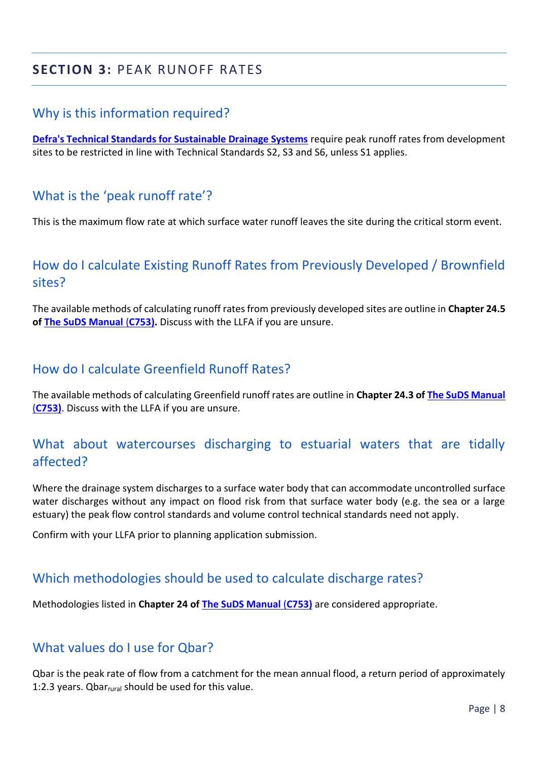# <span id="page-10-0"></span>**SECTION 3:** PEAK RUNOFF RATES

#### Why is this information required?

**[Defra's Technical Standards for Sustainable Drainage Systems](https://www.gov.uk/government/uploads/system/uploads/attachment_data/file/415773/sustainable-drainage-technical-standards.pdf)** require peak runoff rates from development sites to be restricted in line with Technical Standards S2, S3 and S6, unless S1 applies.

# What is the 'peak runoff rate'?

This is the maximum flow rate at which surface water runoff leaves the site during the critical storm event.

# How do I calculate Existing Runoff Rates from Previously Developed / Brownfield sites?

The available methods of calculating runoff rates from previously developed sites are outline in **Chapter 24.5 of [The SuDS Manual](https://www.ciria.org/Memberships/The_SuDS_Manual_C753_Chapters.aspx)** (**C753).** Discuss with the LLFA if you are unsure.

#### How do I calculate Greenfield Runoff Rates?

The available methods of calculating Greenfield runoff rates are outline in **Chapter 24.3 of [The SuDS Manual](https://www.ciria.org/Memberships/The_SuDS_Manual_C753_Chapters.aspx)** (**[C753\)](https://www.ciria.org/Memberships/The_SuDS_Manual_C753_Chapters.aspx)**. Discuss with the LLFA if you are unsure.

# What about watercourses discharging to estuarial waters that are tidally affected?

Where the drainage system discharges to a surface water body that can accommodate uncontrolled surface water discharges without any impact on flood risk from that surface water body (e.g. the sea or a large estuary) the peak flow control standards and volume control technical standards need not apply.

Confirm with your LLFA prior to planning application submission.

#### Which methodologies should be used to calculate discharge rates?

Methodologies listed in **Chapter 24 of [The SuDS Manual](https://www.ciria.org/Memberships/The_SuDS_Manual_C753_Chapters.aspx)** (**C753)** are considered appropriate.

#### What values do I use for Qbar?

Qbar is the peak rate of flow from a catchment for the mean annual flood, a return period of approximately 1:2.3 years. Qbarrural should be used for this value.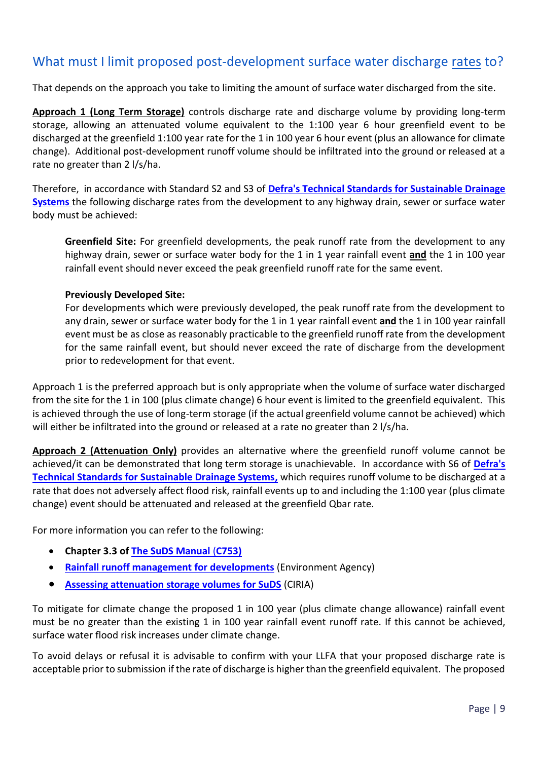# What must I limit proposed post-development surface water discharge rates to?

That depends on the approach you take to limiting the amount of surface water discharged from the site.

**Approach 1 (Long Term Storage)** controls discharge rate and discharge volume by providing long-term storage, allowing an attenuated volume equivalent to the 1:100 year 6 hour greenfield event to be discharged at the greenfield 1:100 year rate for the 1 in 100 year 6 hour event (plus an allowance for climate change). Additional post-development runoff volume should be infiltrated into the ground or released at a rate no greater than 2 l/s/ha.

Therefore, in accordance with Standard S2 and S3 of **[Defra's Technical Standards for Sustainable Drainage](https://www.gov.uk/government/uploads/system/uploads/attachment_data/file/415773/sustainable-drainage-technical-standards.pdf)  [Systems](https://www.gov.uk/government/uploads/system/uploads/attachment_data/file/415773/sustainable-drainage-technical-standards.pdf)** the following discharge rates from the development to any highway drain, sewer or surface water body must be achieved:

**Greenfield Site:** For greenfield developments, the peak runoff rate from the development to any highway drain, sewer or surface water body for the 1 in 1 year rainfall event **and** the 1 in 100 year rainfall event should never exceed the peak greenfield runoff rate for the same event.

#### **Previously Developed Site:**

For developments which were previously developed, the peak runoff rate from the development to any drain, sewer or surface water body for the 1 in 1 year rainfall event **and** the 1 in 100 year rainfall event must be as close as reasonably practicable to the greenfield runoff rate from the development for the same rainfall event, but should never exceed the rate of discharge from the development prior to redevelopment for that event.

Approach 1 is the preferred approach but is only appropriate when the volume of surface water discharged from the site for the 1 in 100 (plus climate change) 6 hour event is limited to the greenfield equivalent. This is achieved through the use of long-term storage (if the actual greenfield volume cannot be achieved) which will either be infiltrated into the ground or released at a rate no greater than 2 l/s/ha.

**Approach 2 (Attenuation Only)** provides an alternative where the greenfield runoff volume cannot be achieved/it can be demonstrated that long term storage is unachievable. In accordance with S6 of **[Defra's](https://www.gov.uk/government/uploads/system/uploads/attachment_data/file/415773/sustainable-drainage-technical-standards.pdf)  [Technical Standards for Sustainable Drainage Systems,](https://www.gov.uk/government/uploads/system/uploads/attachment_data/file/415773/sustainable-drainage-technical-standards.pdf)** which requires runoff volume to be discharged at a rate that does not adversely affect flood risk, rainfall events up to and including the 1:100 year (plus climate change) event should be attenuated and released at the greenfield Qbar rate.

For more information you can refer to the following:

- **Chapter 3.3 of [The SuDS Manual](https://www.ciria.org/Memberships/The_SuDS_Manual_C753_Chapters.aspx)** (**C753)**
- **[Rainfall runoff management for developments](https://www.gov.uk/government/publications/rainfall-runoff-management-for-developments)** (Environment Agency)
- **[Assessing attenuation storage volumes for SuDS](https://www.susdrain.org/files/resources/fact_sheets/03_14_fact_sheet_attenuation.pdf)** (CIRIA)

To mitigate for climate change the proposed 1 in 100 year (plus climate change allowance) rainfall event must be no greater than the existing 1 in 100 year rainfall event runoff rate. If this cannot be achieved, surface water flood risk increases under climate change.

To avoid delays or refusal it is advisable to confirm with your LLFA that your proposed discharge rate is acceptable prior to submission if the rate of discharge is higher than the greenfield equivalent. The proposed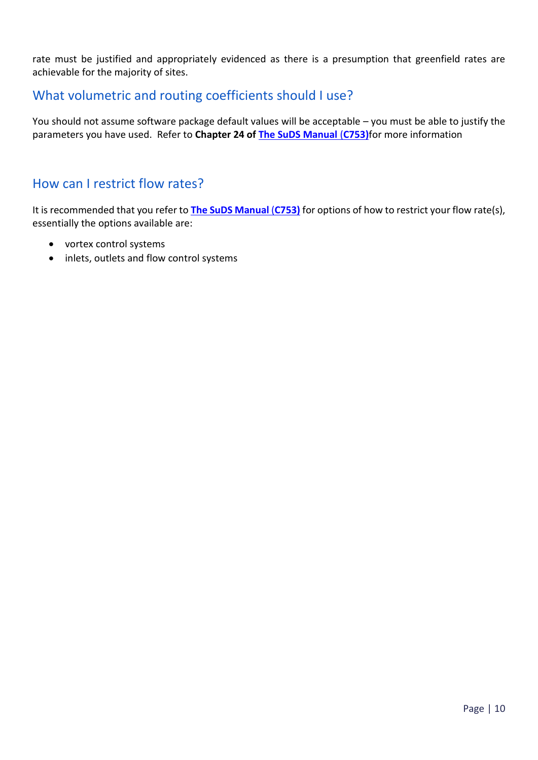rate must be justified and appropriately evidenced as there is a presumption that greenfield rates are achievable for the majority of sites.

#### What volumetric and routing coefficients should I use?

You should not assume software package default values will be acceptable – you must be able to justify the parameters you have used. Refer to **Chapter 24 of [The SuDS Manual](https://www.ciria.org/Memberships/The_SuDS_Manual_C753_Chapters.aspx)** (**C753)**for more information

#### How can I restrict flow rates?

It is recommended that you refer to **[The SuDS Manual](https://www.ciria.org/Memberships/The_SuDS_Manual_C753_Chapters.aspx)** (**C753)** for options of how to restrict your flow rate(s), essentially the options available are:

- vortex control systems
- inlets, outlets and flow control systems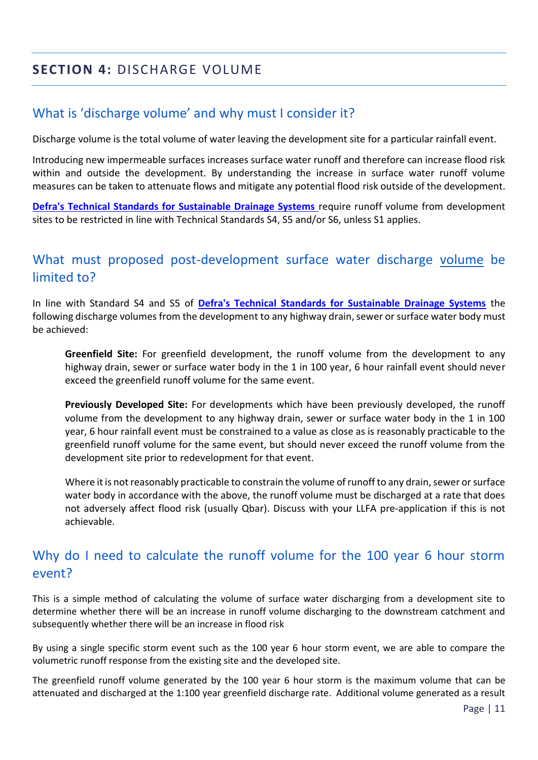# <span id="page-13-0"></span>**SECTION 4:** DISCHARGE VOLUME

# What is 'discharge volume' and why must I consider it?

Discharge volume is the total volume of water leaving the development site for a particular rainfall event.

Introducing new impermeable surfaces increases surface water runoff and therefore can increase flood risk within and outside the development. By understanding the increase in surface water runoff volume measures can be taken to attenuate flows and mitigate any potential flood risk outside of the development.

**[Defra's Technical Standards for Sustainable Drainage Systems](https://www.gov.uk/government/uploads/system/uploads/attachment_data/file/415773/sustainable-drainage-technical-standards.pdf)** require runoff volume from development sites to be restricted in line with Technical Standards S4, S5 and/or S6, unless S1 applies.

# What must proposed post-development surface water discharge volume be limited to?

In line with Standard S4 and S5 of **[Defra's Technical Standards for Sustainable Drainage Systems](https://www.gov.uk/government/uploads/system/uploads/attachment_data/file/415773/sustainable-drainage-technical-standards.pdf)** the following discharge volumes from the development to any highway drain, sewer or surface water body must be achieved:

**Greenfield Site:** For greenfield development, the runoff volume from the development to any highway drain, sewer or surface water body in the 1 in 100 year, 6 hour rainfall event should never exceed the greenfield runoff volume for the same event.

**Previously Developed Site:** For developments which have been previously developed, the runoff volume from the development to any highway drain, sewer or surface water body in the 1 in 100 year, 6 hour rainfall event must be constrained to a value as close as is reasonably practicable to the greenfield runoff volume for the same event, but should never exceed the runoff volume from the development site prior to redevelopment for that event.

Where it is not reasonably practicable to constrain the volume of runoff to any drain, sewer or surface water body in accordance with the above, the runoff volume must be discharged at a rate that does not adversely affect flood risk (usually Qbar). Discuss with your LLFA pre-application if this is not achievable.

# Why do I need to calculate the runoff volume for the 100 year 6 hour storm event?

This is a simple method of calculating the volume of surface water discharging from a development site to determine whether there will be an increase in runoff volume discharging to the downstream catchment and subsequently whether there will be an increase in flood risk

By using a single specific storm event such as the 100 year 6 hour storm event, we are able to compare the volumetric runoff response from the existing site and the developed site.

The greenfield runoff volume generated by the 100 year 6 hour storm is the maximum volume that can be attenuated and discharged at the 1:100 year greenfield discharge rate. Additional volume generated as a result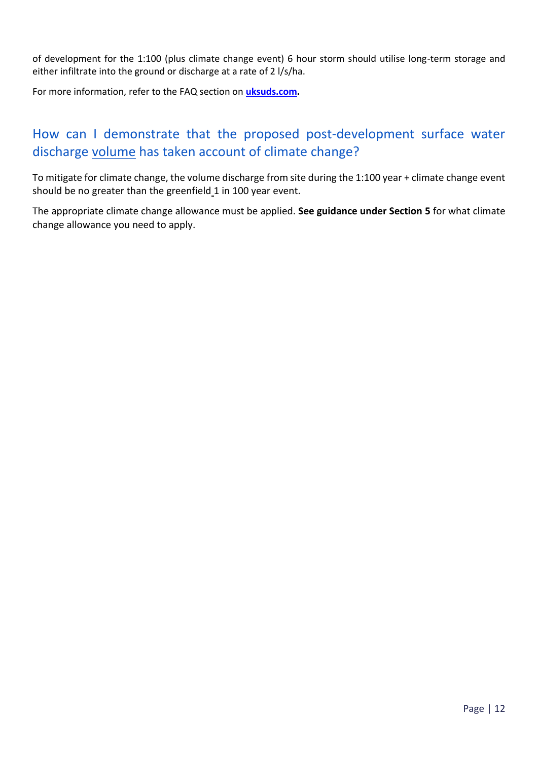of development for the 1:100 (plus climate change event) 6 hour storm should utilise long-term storage and either infiltrate into the ground or discharge at a rate of 2 l/s/ha.

For more information, refer to the FAQ section on **[uksuds.com.](https://www.uksuds.com/help-support/frequently-asked-questions)**

# How can I demonstrate that the proposed post-development surface water discharge volume has taken account of climate change?

To mitigate for climate change, the volume discharge from site during the 1:100 year + climate change event should be no greater than the greenfield 1 in 100 year event.

The appropriate climate change allowance must be applied. **See guidance under Section 5** for what climate change allowance you need to apply.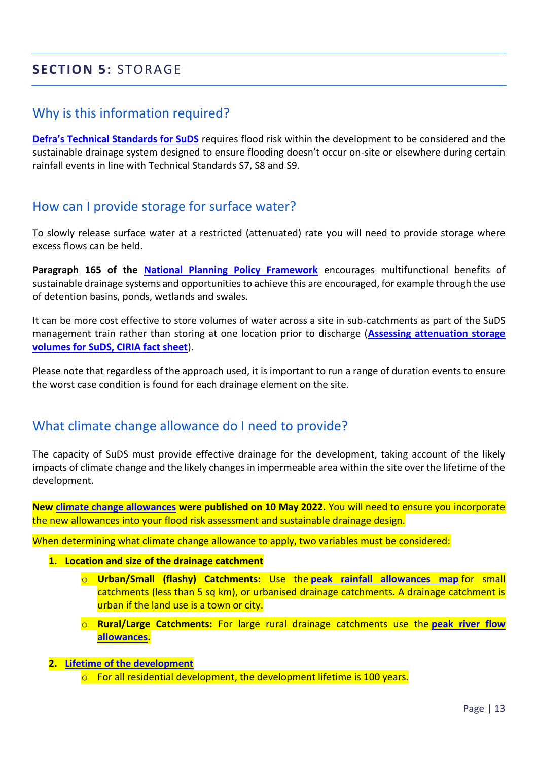# <span id="page-15-0"></span>**SECTION 5:** STORAGE

#### Why is this information required?

**[Defra's Technical Standards for SuDS](https://www.gov.uk/government/publications/sustainable-drainage-systems-non-statutory-technical-standards)** requires flood risk within the development to be considered and the sustainable drainage system designed to ensure flooding doesn't occur on-site or elsewhere during certain rainfall events in line with Technical Standards S7, S8 and S9.

#### How can I provide storage for surface water?

To slowly release surface water at a restricted (attenuated) rate you will need to provide storage where excess flows can be held.

**Paragraph 165 of the [National Planning Policy Framework](https://www.gov.uk/government/publications/national-planning-policy-framework--2)** encourages multifunctional benefits of sustainable drainage systems and opportunities to achieve this are encouraged, for example through the use of detention basins, ponds, wetlands and swales.

It can be more cost effective to store volumes of water across a site in sub-catchments as part of the SuDS management train rather than storing at one location prior to discharge (**[Assessing attenuation storage](https://www.susdrain.org/files/resources/fact_sheets/03_14_fact_sheet_attenuation.pdf)  [volumes for SuDS, CIRIA fact sheet](https://www.susdrain.org/files/resources/fact_sheets/03_14_fact_sheet_attenuation.pdf)**).

Please note that regardless of the approach used, it is important to run a range of duration events to ensure the worst case condition is found for each drainage element on the site.

#### What climate change allowance do I need to provide?

The capacity of SuDS must provide effective drainage for the development, taking account of the likely impacts of climate change and the likely changes in impermeable area within the site over the lifetime of the development.

**New [climate change allowances](https://www.gov.uk/guidance/flood-risk-assessments-climate-change-allowances) were published on 10 May 2022.** You will need to ensure you incorporate the new allowances into your flood risk assessment and sustainable drainage design.

When determining what climate change allowance to apply, two variables must be considered:

#### **1. Location and size of the drainage catchment**

- o **Urban/Small (flashy) Catchments:** Use the **[peak rainfall allowances map](https://hydrology-test.epimorphics.net/hydrology/climate-change-allowances/rainfall)** for small catchments (less than 5 sq km), or urbanised drainage catchments. A drainage catchment is urban if the land use is a town or city.
- o **Rural/Large Catchments:** For large rural drainage catchments use the **[peak river flow](https://www.gov.uk/guidance/flood-risk-assessments-climate-change-allowances#peak-river-flow-allowances)  [allowances.](https://www.gov.uk/guidance/flood-risk-assessments-climate-change-allowances#peak-river-flow-allowances)**
- **2. [Lifetime of the development](https://www.gov.uk/guidance/flood-risk-and-coastal-change#what-is-lifetime-of-development)**
	- $\circ$  For all residential development, the development lifetime is 100 years.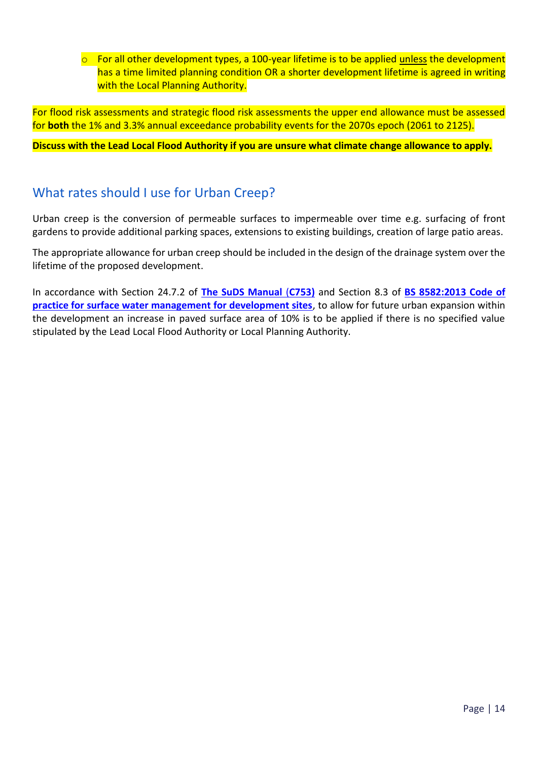$\circ$  For all other development types, a 100-year lifetime is to be applied unless the development has a time limited planning condition OR a shorter development lifetime is agreed in writing with the Local Planning Authority.

For flood risk assessments and strategic flood risk assessments the upper end allowance must be assessed for **both** the 1% and 3.3% annual exceedance probability events for the 2070s epoch (2061 to 2125).

**Discuss with the Lead Local Flood Authority if you are unsure what climate change allowance to apply.**

#### What rates should I use for Urban Creep?

Urban creep is the conversion of permeable surfaces to impermeable over time e.g. surfacing of front gardens to provide additional parking spaces, extensions to existing buildings, creation of large patio areas.

The appropriate allowance for urban creep should be included in the design of the drainage system over the lifetime of the proposed development.

In accordance with Section 24.7.2 of **[The SuDS Manual](https://www.ciria.org/Memberships/The_SuDS_Manual_C753_Chapters.aspx)** (**C753)** and Section 8.3 of **[BS 8582:2013 Code of](https://shop.bsigroup.com/ProductDetail/?pid=000000000030253266)  [practice for surface water management for development sites](https://shop.bsigroup.com/ProductDetail/?pid=000000000030253266)**, to allow for future urban expansion within the development an increase in paved surface area of 10% is to be applied if there is no specified value stipulated by the Lead Local Flood Authority or Local Planning Authority.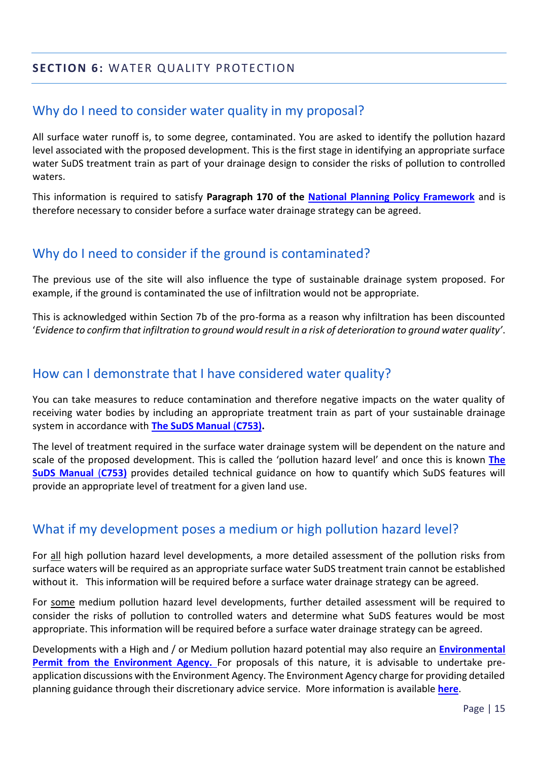#### <span id="page-17-0"></span>**SECTION 6:** WATER QUALITY PROTECTION

#### Why do I need to consider water quality in my proposal?

All surface water runoff is, to some degree, contaminated. You are asked to identify the pollution hazard level associated with the proposed development. This is the first stage in identifying an appropriate surface water SuDS treatment train as part of your drainage design to consider the risks of pollution to controlled waters.

This information is required to satisfy **Paragraph 170 of the [National Planning Policy Framework](https://www.gov.uk/government/publications/national-planning-policy-framework--2)** and is therefore necessary to consider before a surface water drainage strategy can be agreed.

#### Why do I need to consider if the ground is contaminated?

The previous use of the site will also influence the type of sustainable drainage system proposed. For example, if the ground is contaminated the use of infiltration would not be appropriate.

This is acknowledged within Section 7b of the pro-forma as a reason why infiltration has been discounted '*Evidence to confirm that infiltration to ground would result in a risk of deterioration to ground water quality'*.

#### How can I demonstrate that I have considered water quality?

You can take measures to reduce contamination and therefore negative impacts on the water quality of receiving water bodies by including an appropriate treatment train as part of your sustainable drainage system in accordance with **[The SuDS Manual](https://www.ciria.org/Memberships/The_SuDS_Manual_C753_Chapters.aspx)** (**C753).**

The level of treatment required in the surface water drainage system will be dependent on the nature and scale of the proposed development. This is called the 'pollution hazard level' and once this is known **[The](https://www.ciria.org/Memberships/The_SuDS_Manual_C753_Chapters.aspx)  [SuDS Manual](https://www.ciria.org/Memberships/The_SuDS_Manual_C753_Chapters.aspx)** (**C753)** provides detailed technical guidance on how to quantify which SuDS features will provide an appropriate level of treatment for a given land use.

# What if my development poses a medium or high pollution hazard level?

For all high pollution hazard level developments, a more detailed assessment of the pollution risks from surface waters will be required as an appropriate surface water SuDS treatment train cannot be established without it. This information will be required before a surface water drainage strategy can be agreed.

For some medium pollution hazard level developments, further detailed assessment will be required to consider the risks of pollution to controlled waters and determine what SuDS features would be most appropriate. This information will be required before a surface water drainage strategy can be agreed.

Developments with a High and / or Medium pollution hazard potential may also require an **[Environmental](https://www.gov.uk/topic/environmental-management/environmental-permits)  [Permit](https://www.gov.uk/topic/environmental-management/environmental-permits) from the Environment Agency.** For proposals of this nature, it is advisable to undertake preapplication discussions with the Environment Agency. The Environment Agency charge for providing detailed planning guidance through their discretionary advice service. More information is available **[here](https://www.gov.uk/guidance/developers-get-environmental-advice-on-your-planning-proposals)**.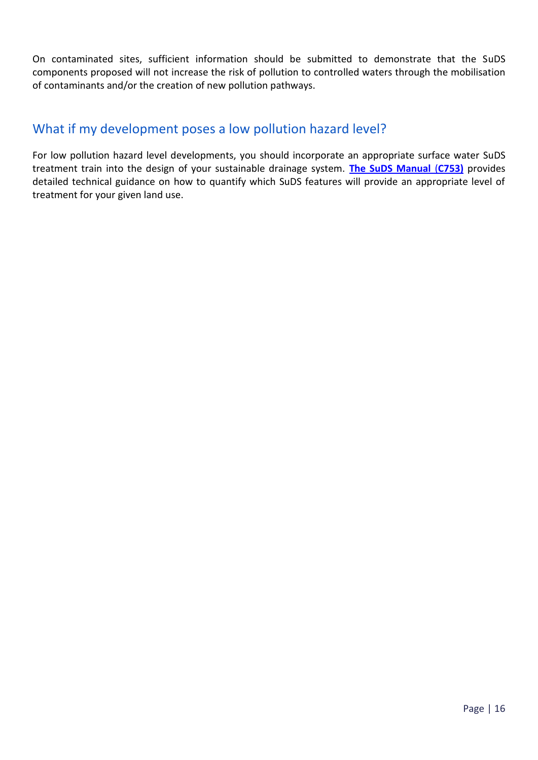On contaminated sites, sufficient information should be submitted to demonstrate that the SuDS components proposed will not increase the risk of pollution to controlled waters through the mobilisation of contaminants and/or the creation of new pollution pathways.

# What if my development poses a low pollution hazard level?

For low pollution hazard level developments, you should incorporate an appropriate surface water SuDS treatment train into the design of your sustainable drainage system. **[The SuDS Manual](https://www.ciria.org/Memberships/The_SuDS_Manual_C753_Chapters.aspx)** (**C753)** provides detailed technical guidance on how to quantify which SuDS features will provide an appropriate level of treatment for your given land use.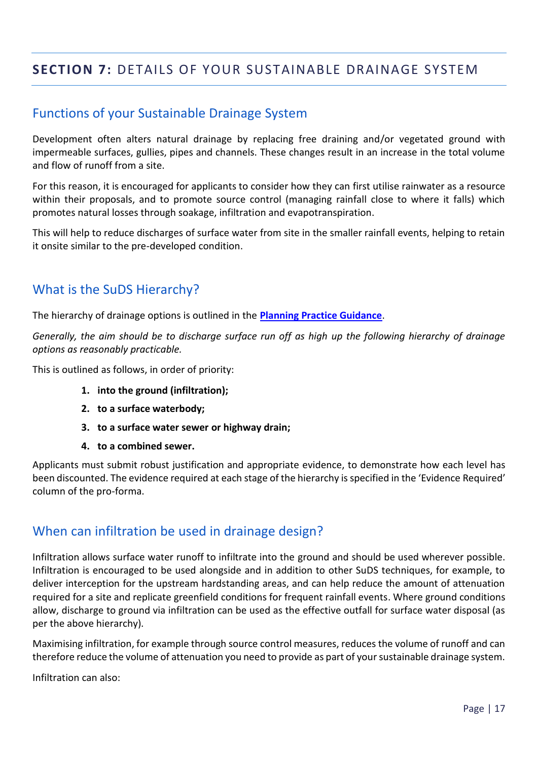# <span id="page-19-0"></span>**SECTION 7:** DETAILS OF YOUR SUSTAINABLE DRAINAGE SYSTEM

# Functions of your Sustainable Drainage System

Development often alters natural drainage by replacing free draining and/or vegetated ground with impermeable surfaces, gullies, pipes and channels. These changes result in an increase in the total volume and flow of runoff from a site.

For this reason, it is encouraged for applicants to consider how they can first utilise rainwater as a resource within their proposals, and to promote source control (managing rainfall close to where it falls) which promotes natural losses through soakage, infiltration and evapotranspiration.

This will help to reduce discharges of surface water from site in the smaller rainfall events, helping to retain it onsite similar to the pre-developed condition.

#### What is the SuDS Hierarchy?

The hierarchy of drainage options is outlined in the **[Planning Practice Guidance](https://www.gov.uk/guidance/flood-risk-and-coastal-change#a-particular-discharge-route)**.

*Generally, the aim should be to discharge surface run off as high up the following hierarchy of drainage options as reasonably practicable.*

This is outlined as follows, in order of priority:

- **1. into the ground (infiltration);**
- **2. to a surface waterbody;**
- **3. to a surface water sewer or highway drain;**
- **4. to a combined sewer.**

Applicants must submit robust justification and appropriate evidence, to demonstrate how each level has been discounted. The evidence required at each stage of the hierarchy is specified in the 'Evidence Required' column of the pro-forma.

#### When can infiltration be used in drainage design?

Infiltration allows surface water runoff to infiltrate into the ground and should be used wherever possible. Infiltration is encouraged to be used alongside and in addition to other SuDS techniques, for example, to deliver interception for the upstream hardstanding areas, and can help reduce the amount of attenuation required for a site and replicate greenfield conditions for frequent rainfall events. Where ground conditions allow, discharge to ground via infiltration can be used as the effective outfall for surface water disposal (as per the above hierarchy).

Maximising infiltration, for example through source control measures, reduces the volume of runoff and can therefore reduce the volume of attenuation you need to provide as part of your sustainable drainage system.

Infiltration can also: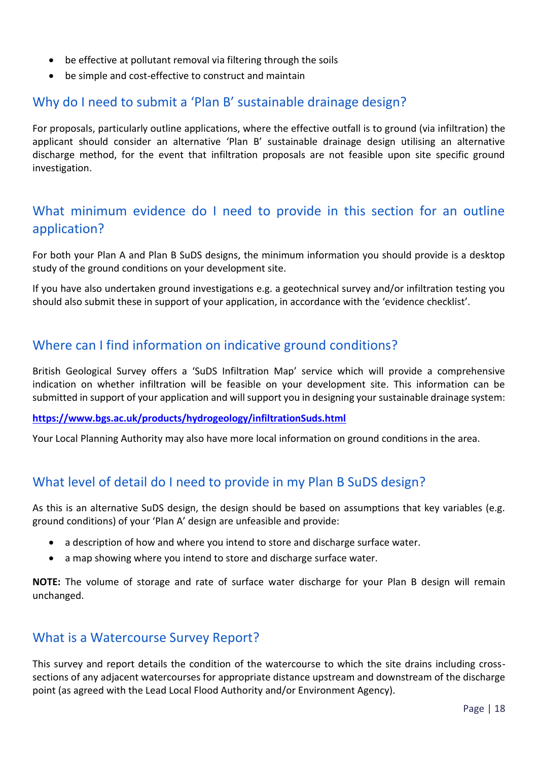- be effective at pollutant removal via filtering through the soils
- be simple and cost-effective to construct and maintain

#### Why do I need to submit a 'Plan B' sustainable drainage design?

For proposals, particularly outline applications, where the effective outfall is to ground (via infiltration) the applicant should consider an alternative 'Plan B' sustainable drainage design utilising an alternative discharge method, for the event that infiltration proposals are not feasible upon site specific ground investigation.

# What minimum evidence do I need to provide in this section for an outline application?

For both your Plan A and Plan B SuDS designs, the minimum information you should provide is a desktop study of the ground conditions on your development site.

If you have also undertaken ground investigations e.g. a geotechnical survey and/or infiltration testing you should also submit these in support of your application, in accordance with the 'evidence checklist'.

#### Where can I find information on indicative ground conditions?

British Geological Survey offers a 'SuDS Infiltration Map' service which will provide a comprehensive indication on whether infiltration will be feasible on your development site. This information can be submitted in support of your application and will support you in designing your sustainable drainage system:

#### **<https://www.bgs.ac.uk/products/hydrogeology/infiltrationSuds.html>**

Your Local Planning Authority may also have more local information on ground conditions in the area.

# What level of detail do I need to provide in my Plan B SuDS design?

As this is an alternative SuDS design, the design should be based on assumptions that key variables (e.g. ground conditions) of your 'Plan A' design are unfeasible and provide:

- a description of how and where you intend to store and discharge surface water.
- a map showing where you intend to store and discharge surface water.

**NOTE:** The volume of storage and rate of surface water discharge for your Plan B design will remain unchanged.

#### What is a Watercourse Survey Report?

This survey and report details the condition of the watercourse to which the site drains including crosssections of any adjacent watercourses for appropriate distance upstream and downstream of the discharge point (as agreed with the Lead Local Flood Authority and/or Environment Agency).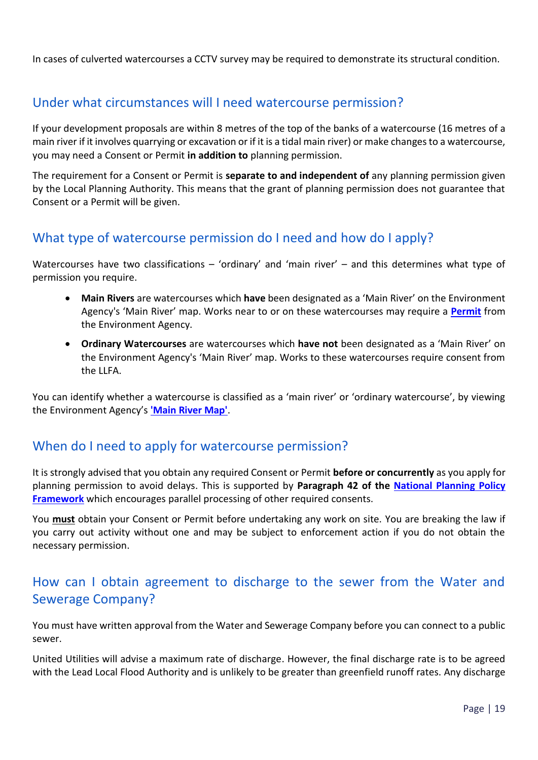In cases of culverted watercourses a CCTV survey may be required to demonstrate its structural condition.

# Under what circumstances will I need watercourse permission?

If your development proposals are within 8 metres of the top of the banks of a watercourse (16 metres of a main river if it involves quarrying or excavation or if it is a tidal main river) or make changes to a watercourse, you may need a Consent or Permit **in addition to** planning permission.

The requirement for a Consent or Permit is **separate to and independent of** any planning permission given by the Local Planning Authority. This means that the grant of planning permission does not guarantee that Consent or a Permit will be given.

# What type of watercourse permission do I need and how do I apply?

Watercourses have two classifications – 'ordinary' and 'main river' – and this determines what type of permission you require.

- **Main Rivers** are watercourses which **have** been designated as a 'Main River' on the Environment Agency's 'Main River' map. Works near to or on these watercourses may require a **[Permit](https://www.gov.uk/guidance/flood-risk-activities-environmental-permits)** from the Environment Agency.
- **Ordinary Watercourses** are watercourses which **have not** been designated as a 'Main River' on the Environment Agency's 'Main River' map. Works to these watercourses require consent from the LLFA.

You can identify whether a watercourse is classified as a 'main river' or 'ordinary watercourse', by viewing the Environment Agency's **['Main River Map'](http://apps.environment-agency.gov.uk/wiyby/default.aspx)**.

#### When do I need to apply for watercourse permission?

It is strongly advised that you obtain any required Consent or Permit **before or concurrently** as you apply for planning permission to avoid delays. This is supported by **Paragraph 42 of the [National Planning Policy](https://www.gov.uk/government/publications/national-planning-policy-framework--2)  [Framework](https://www.gov.uk/government/publications/national-planning-policy-framework--2)** which encourages parallel processing of other required consents.

You **must** obtain your Consent or Permit before undertaking any work on site. You are breaking the law if you carry out activity without one and may be subject to enforcement action if you do not obtain the necessary permission.

# How can I obtain agreement to discharge to the sewer from the Water and Sewerage Company?

You must have written approval from the Water and Sewerage Company before you can connect to a public sewer.

United Utilities will advise a maximum rate of discharge. However, the final discharge rate is to be agreed with the Lead Local Flood Authority and is unlikely to be greater than greenfield runoff rates. Any discharge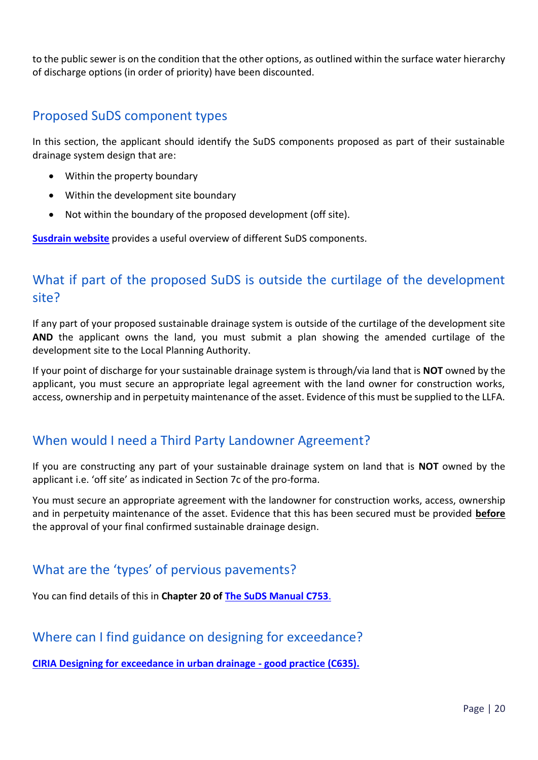to the public sewer is on the condition that the other options, as outlined within the surface water hierarchy of discharge options (in order of priority) have been discounted.

#### Proposed SuDS component types

In this section, the applicant should identify the SuDS components proposed as part of their sustainable drainage system design that are:

- Within the property boundary
- Within the development site boundary
- Not within the boundary of the proposed development (off site).

**[Susdrain website](https://www.susdrain.org/delivering-suds/using-suds/suds-components/suds-components.html)** provides a useful overview of different SuDS components.

# What if part of the proposed SuDS is outside the curtilage of the development site?

If any part of your proposed sustainable drainage system is outside of the curtilage of the development site **AND** the applicant owns the land, you must submit a plan showing the amended curtilage of the development site to the Local Planning Authority.

If your point of discharge for your sustainable drainage system is through/via land that is **NOT** owned by the applicant, you must secure an appropriate legal agreement with the land owner for construction works, access, ownership and in perpetuity maintenance of the asset. Evidence of this must be supplied to the LLFA.

#### When would I need a Third Party Landowner Agreement?

If you are constructing any part of your sustainable drainage system on land that is **NOT** owned by the applicant i.e. 'off site' as indicated in Section 7c of the pro-forma.

You must secure an appropriate agreement with the landowner for construction works, access, ownership and in perpetuity maintenance of the asset. Evidence that this has been secured must be provided **before** the approval of your final confirmed sustainable drainage design.

#### What are the 'types' of pervious pavements?

You can find details of this in **Chapter 20 of [The SuDS Manual C753](https://www.ciria.org/Memberships/The_SuDS_Manual_C753_Chapters.aspx)**.

#### Where can I find guidance on designing for exceedance?

**[CIRIA Designing for exceedance in urban drainage -](https://www.ciria.org/ItemDetail?iProductCode=C635&Category=BOOK&WebsiteKey=3f18c87a-d62b-4eca-8ef4-9b09309c1c91) good practice (C635).**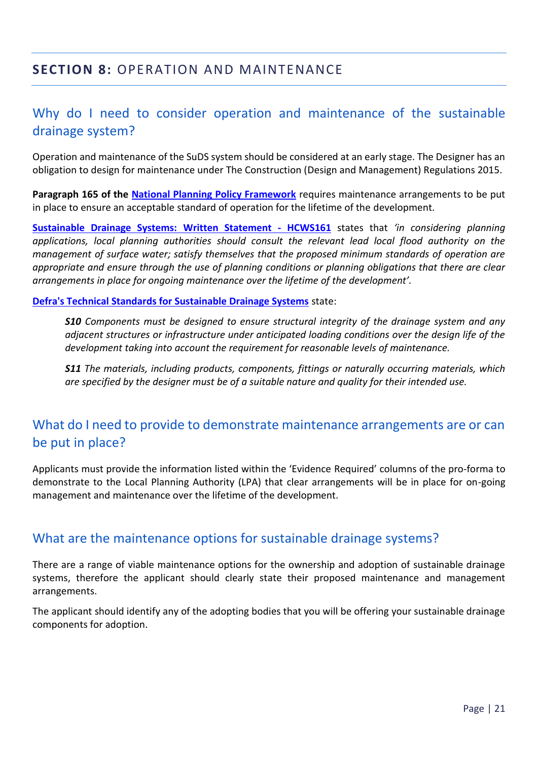# <span id="page-23-0"></span>Why do I need to consider operation and maintenance of the sustainable drainage system?

Operation and maintenance of the SuDS system should be considered at an early stage. The Designer has an obligation to design for maintenance under The Construction (Design and Management) Regulations 2015.

**Paragraph 165 of the [National Planning Policy Framework](https://www.gov.uk/government/publications/national-planning-policy-framework--2)** requires maintenance arrangements to be put in place to ensure an acceptable standard of operation for the lifetime of the development.

**[Sustainable Drainage Systems: Written Statement](https://www.parliament.uk/business/publications/written-questions-answers-statements/written-statement/Commons/2014-12-18/HCWS161/) - HCWS161** states that *'in considering planning applications, local planning authorities should consult the relevant lead local flood authority on the management of surface water; satisfy themselves that the proposed minimum standards of operation are appropriate and ensure through the use of planning conditions or planning obligations that there are clear arrangements in place for ongoing maintenance over the lifetime of the development'.*

**[Defra's Technical Standards for Sustainable Drainage Systems](https://www.gov.uk/government/uploads/system/uploads/attachment_data/file/415773/sustainable-drainage-technical-standards.pdf)** state:

*S10 Components must be designed to ensure structural integrity of the drainage system and any adjacent structures or infrastructure under anticipated loading conditions over the design life of the development taking into account the requirement for reasonable levels of maintenance.* 

*S11 The materials, including products, components, fittings or naturally occurring materials, which are specified by the designer must be of a suitable nature and quality for their intended use.*

# What do I need to provide to demonstrate maintenance arrangements are or can be put in place?

Applicants must provide the information listed within the 'Evidence Required' columns of the pro-forma to demonstrate to the Local Planning Authority (LPA) that clear arrangements will be in place for on-going management and maintenance over the lifetime of the development.

#### What are the maintenance options for sustainable drainage systems?

There are a range of viable maintenance options for the ownership and adoption of sustainable drainage systems, therefore the applicant should clearly state their proposed maintenance and management arrangements.

The applicant should identify any of the adopting bodies that you will be offering your sustainable drainage components for adoption.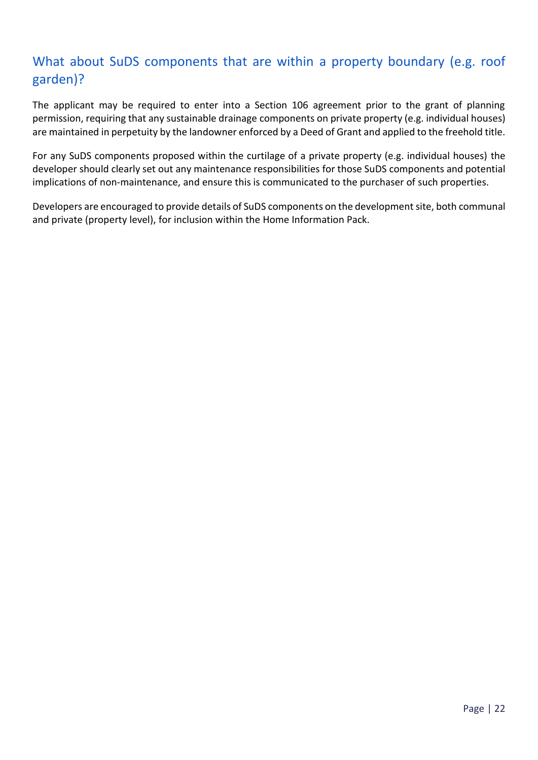# What about SuDS components that are within a property boundary (e.g. roof garden)?

The applicant may be required to enter into a Section 106 agreement prior to the grant of planning permission, requiring that any sustainable drainage components on private property (e.g. individual houses) are maintained in perpetuity by the landowner enforced by a Deed of Grant and applied to the freehold title.

For any SuDS components proposed within the curtilage of a private property (e.g. individual houses) the developer should clearly set out any maintenance responsibilities for those SuDS components and potential implications of non-maintenance, and ensure this is communicated to the purchaser of such properties.

Developers are encouraged to provide details of SuDS components on the development site, both communal and private (property level), for inclusion within the Home Information Pack.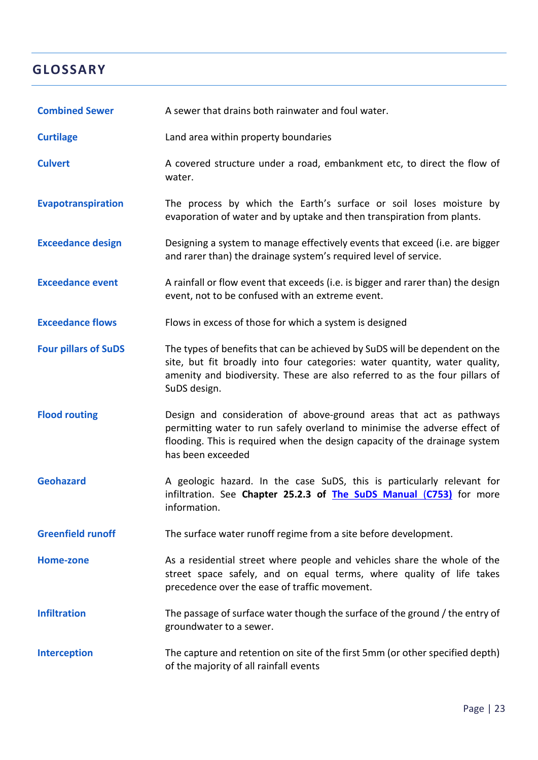# <span id="page-25-0"></span>**GLOSSARY**

| <b>Combined Sewer</b>       | A sewer that drains both rainwater and foul water.                                                                                                                                                                                                       |
|-----------------------------|----------------------------------------------------------------------------------------------------------------------------------------------------------------------------------------------------------------------------------------------------------|
| <b>Curtilage</b>            | Land area within property boundaries                                                                                                                                                                                                                     |
| <b>Culvert</b>              | A covered structure under a road, embankment etc, to direct the flow of<br>water.                                                                                                                                                                        |
| Evapotranspiration          | The process by which the Earth's surface or soil loses moisture by<br>evaporation of water and by uptake and then transpiration from plants.                                                                                                             |
| <b>Exceedance design</b>    | Designing a system to manage effectively events that exceed (i.e. are bigger<br>and rarer than) the drainage system's required level of service.                                                                                                         |
| <b>Exceedance event</b>     | A rainfall or flow event that exceeds (i.e. is bigger and rarer than) the design<br>event, not to be confused with an extreme event.                                                                                                                     |
| <b>Exceedance flows</b>     | Flows in excess of those for which a system is designed                                                                                                                                                                                                  |
| <b>Four pillars of SuDS</b> | The types of benefits that can be achieved by SuDS will be dependent on the<br>site, but fit broadly into four categories: water quantity, water quality,<br>amenity and biodiversity. These are also referred to as the four pillars of<br>SuDS design. |
| <b>Flood routing</b>        | Design and consideration of above-ground areas that act as pathways<br>permitting water to run safely overland to minimise the adverse effect of<br>flooding. This is required when the design capacity of the drainage system<br>has been exceeded      |
| <b>Geohazard</b>            | A geologic hazard. In the case SuDS, this is particularly relevant for<br>infiltration. See Chapter 25.2.3 of The SuDS Manual (C753) for more<br>information.                                                                                            |
| <b>Greenfield runoff</b>    | The surface water runoff regime from a site before development.                                                                                                                                                                                          |
| Home-zone                   | As a residential street where people and vehicles share the whole of the<br>street space safely, and on equal terms, where quality of life takes<br>precedence over the ease of traffic movement.                                                        |
| <b>Infiltration</b>         | The passage of surface water though the surface of the ground / the entry of<br>groundwater to a sewer.                                                                                                                                                  |
| <b>Interception</b>         | The capture and retention on site of the first 5mm (or other specified depth)<br>of the majority of all rainfall events                                                                                                                                  |